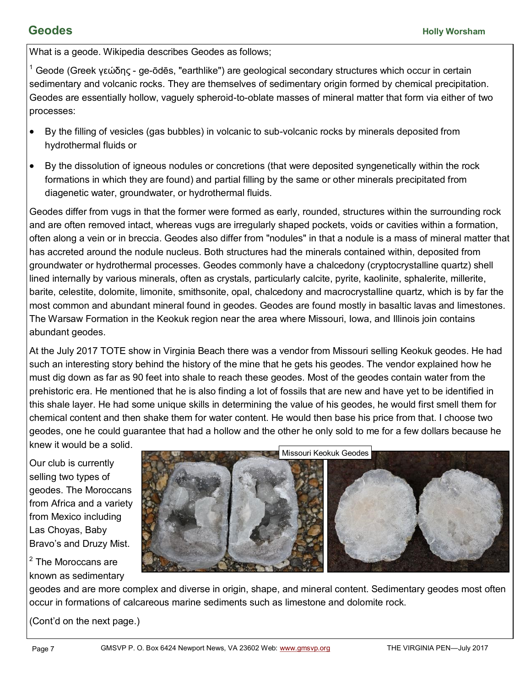What is a geode. Wikipedia describes Geodes as follows;

 $1$  Geode (Greek γεώδης - ge-ōdēs, "earthlike") are geological secondary structures which occur in certain sedimentary and volcanic rocks. They are themselves of sedimentary origin formed by chemical precipitation. Geodes are essentially hollow, vaguely spheroid-to-oblate masses of mineral matter that form via either of two processes:

- By the filling of vesicles (gas bubbles) in volcanic to sub-volcanic rocks by minerals deposited from hydrothermal fluids or
- By the dissolution of igneous nodules or concretions (that were deposited syngenetically within the rock formations in which they are found) and partial filling by the same or other minerals precipitated from diagenetic water, groundwater, or hydrothermal fluids.

Geodes differ from vugs in that the former were formed as early, rounded, structures within the surrounding rock and are often removed intact, whereas vugs are irregularly shaped pockets, voids or cavities within a formation, often along a vein or in breccia. Geodes also differ from "nodules" in that a nodule is a mass of mineral matter that has accreted around the nodule nucleus. Both structures had the minerals contained within, deposited from groundwater or hydrothermal processes. Geodes commonly have a chalcedony (cryptocrystalline quartz) shell lined internally by various minerals, often as crystals, particularly calcite, pyrite, kaolinite, sphalerite, millerite, barite, celestite, dolomite, limonite, smithsonite, opal, chalcedony and macrocrystalline quartz, which is by far the most common and abundant mineral found in geodes. Geodes are found mostly in basaltic lavas and limestones. The Warsaw Formation in the Keokuk region near the area where Missouri, Iowa, and Illinois join contains abundant geodes.

At the July 2017 TOTE show in Virginia Beach there was a vendor from Missouri selling Keokuk geodes. He had such an interesting story behind the history of the mine that he gets his geodes. The vendor explained how he must dig down as far as 90 feet into shale to reach these geodes. Most of the geodes contain water from the prehistoric era. He mentioned that he is also finding a lot of fossils that are new and have yet to be identified in this shale layer. He had some unique skills in determining the value of his geodes, he would first smell them for chemical content and then shake them for water content. He would then base his price from that. I choose two geodes, one he could guarantee that had a hollow and the other he only sold to me for a few dollars because he knew it would be a solid.

Our club is currently selling two types of geodes. The Moroccans from Africa and a variety from Mexico including Las Choyas, Baby Bravo's and Druzy Mist.

<sup>2</sup> The Moroccans are known as sedimentary



geodes and are more complex and diverse in origin, shape, and mineral content. Sedimentary geodes most often occur in formations of calcareous marine sediments such as limestone and dolomite rock.

(Cont'd on the next page.)